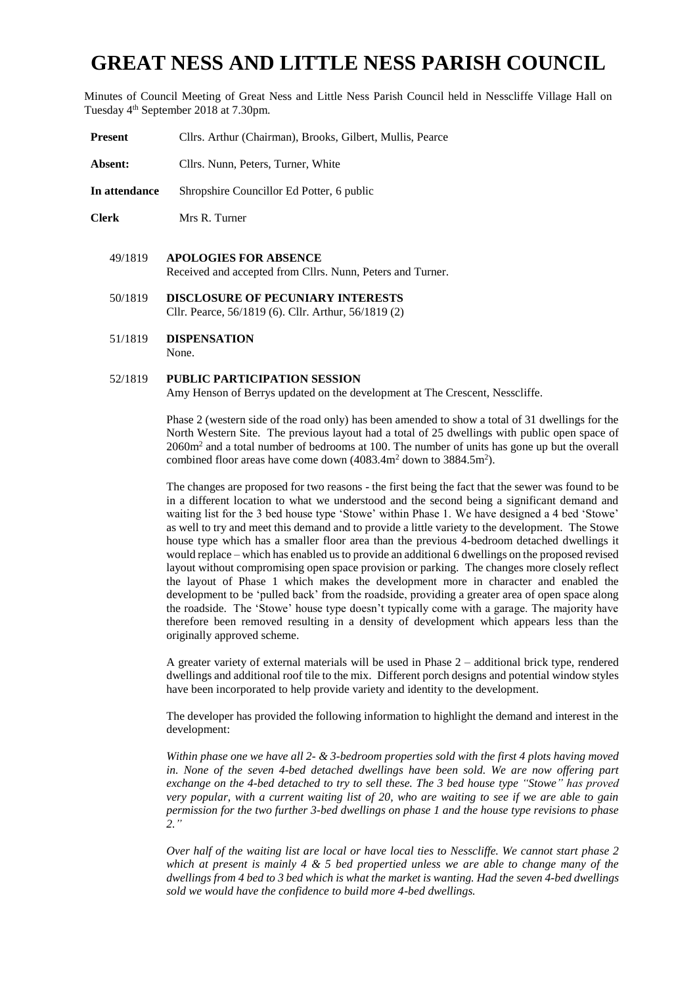# **GREAT NESS AND LITTLE NESS PARISH COUNCIL**

Minutes of Council Meeting of Great Ness and Little Ness Parish Council held in Nesscliffe Village Hall on Tuesday 4th September 2018 at 7.30pm.

- **Present** Cllrs. Arthur (Chairman), Brooks, Gilbert, Mullis, Pearce
- **Absent:** Cllrs. Nunn, Peters, Turner, White
- **In attendance** Shropshire Councillor Ed Potter, 6 public
- **Clerk** Mrs R. Turner
	- 49/1819 **APOLOGIES FOR ABSENCE**  Received and accepted from Cllrs. Nunn, Peters and Turner.
	- 50/1819 **DISCLOSURE OF PECUNIARY INTERESTS** Cllr. Pearce, 56/1819 (6). Cllr. Arthur, 56/1819 (2)
	- 51/1819 **DISPENSATION** None.

#### 52/1819 **PUBLIC PARTICIPATION SESSION**

Amy Henson of Berrys updated on the development at The Crescent, Nesscliffe.

Phase 2 (western side of the road only) has been amended to show a total of 31 dwellings for the North Western Site. The previous layout had a total of 25 dwellings with public open space of 2060m<sup>2</sup> and a total number of bedrooms at 100. The number of units has gone up but the overall combined floor areas have come down (4083.4m<sup>2</sup> down to 3884.5m<sup>2</sup>).

The changes are proposed for two reasons - the first being the fact that the sewer was found to be in a different location to what we understood and the second being a significant demand and waiting list for the 3 bed house type 'Stowe' within Phase 1. We have designed a 4 bed 'Stowe' as well to try and meet this demand and to provide a little variety to the development. The Stowe house type which has a smaller floor area than the previous 4-bedroom detached dwellings it would replace – which has enabled us to provide an additional 6 dwellings on the proposed revised layout without compromising open space provision or parking. The changes more closely reflect the layout of Phase 1 which makes the development more in character and enabled the development to be 'pulled back' from the roadside, providing a greater area of open space along the roadside. The 'Stowe' house type doesn't typically come with a garage. The majority have therefore been removed resulting in a density of development which appears less than the originally approved scheme.

A greater variety of external materials will be used in Phase 2 – additional brick type, rendered dwellings and additional roof tile to the mix. Different porch designs and potential window styles have been incorporated to help provide variety and identity to the development.

The developer has provided the following information to highlight the demand and interest in the development:

*Within phase one we have all 2- & 3-bedroom properties sold with the first 4 plots having moved in. None of the seven 4-bed detached dwellings have been sold. We are now offering part exchange on the 4-bed detached to try to sell these. The 3 bed house type "Stowe" has proved very popular, with a current waiting list of 20, who are waiting to see if we are able to gain permission for the two further 3-bed dwellings on phase 1 and the house type revisions to phase 2."*

*Over half of the waiting list are local or have local ties to Nesscliffe. We cannot start phase 2 which at present is mainly 4 & 5 bed propertied unless we are able to change many of the dwellings from 4 bed to 3 bed which is what the market is wanting. Had the seven 4-bed dwellings sold we would have the confidence to build more 4-bed dwellings.*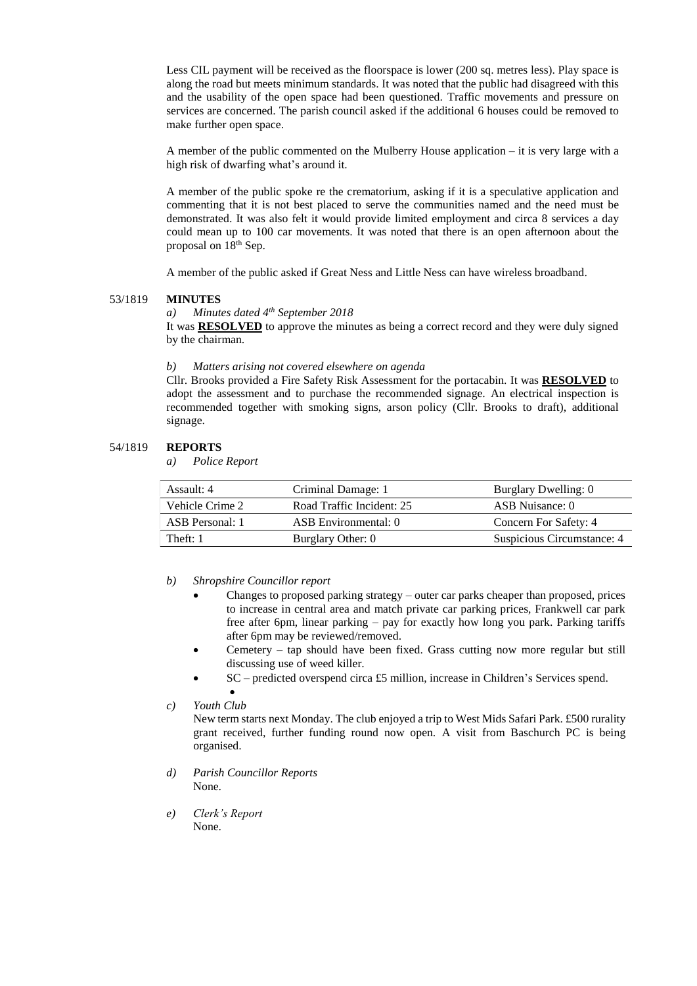Less CIL payment will be received as the floorspace is lower (200 sq. metres less). Play space is along the road but meets minimum standards. It was noted that the public had disagreed with this and the usability of the open space had been questioned. Traffic movements and pressure on services are concerned. The parish council asked if the additional 6 houses could be removed to make further open space.

A member of the public commented on the Mulberry House application – it is very large with a high risk of dwarfing what's around it.

A member of the public spoke re the crematorium, asking if it is a speculative application and commenting that it is not best placed to serve the communities named and the need must be demonstrated. It was also felt it would provide limited employment and circa 8 services a day could mean up to 100 car movements. It was noted that there is an open afternoon about the proposal on 18th Sep.

A member of the public asked if Great Ness and Little Ness can have wireless broadband.

#### 53/1819 **MINUTES**

## *a) Minutes dated 4th September 2018*

It was **RESOLVED** to approve the minutes as being a correct record and they were duly signed by the chairman.

#### *b) Matters arising not covered elsewhere on agenda*

Cllr. Brooks provided a Fire Safety Risk Assessment for the portacabin. It was **RESOLVED** to adopt the assessment and to purchase the recommended signage. An electrical inspection is recommended together with smoking signs, arson policy (Cllr. Brooks to draft), additional signage.

### 54/1819 **REPORTS**

*a) Police Report*

| Assault: 4            | Criminal Damage: 1        | Burglary Dwelling: 0       |
|-----------------------|---------------------------|----------------------------|
| Vehicle Crime 2       | Road Traffic Incident: 25 | ASB Nuisance: 0            |
| ASB Personal: 1       | ASB Environmental: 0      | Concern For Safety: 4      |
| Theft: $\blacksquare$ | Burglary Other: 0         | Suspicious Circumstance: 4 |

#### *b) Shropshire Councillor report*

- Changes to proposed parking strategy outer car parks cheaper than proposed, prices to increase in central area and match private car parking prices, Frankwell car park free after 6pm, linear parking – pay for exactly how long you park. Parking tariffs after 6pm may be reviewed/removed.
- Cemetery tap should have been fixed. Grass cutting now more regular but still discussing use of weed killer.
- SC predicted overspend circa £5 million, increase in Children's Services spend.

•

New term starts next Monday. The club enjoyed a trip to West Mids Safari Park. £500 rurality grant received, further funding round now open. A visit from Baschurch PC is being organised.

- *d) Parish Councillor Reports* None.
- *e) Clerk's Report* None.

*c) Youth Club*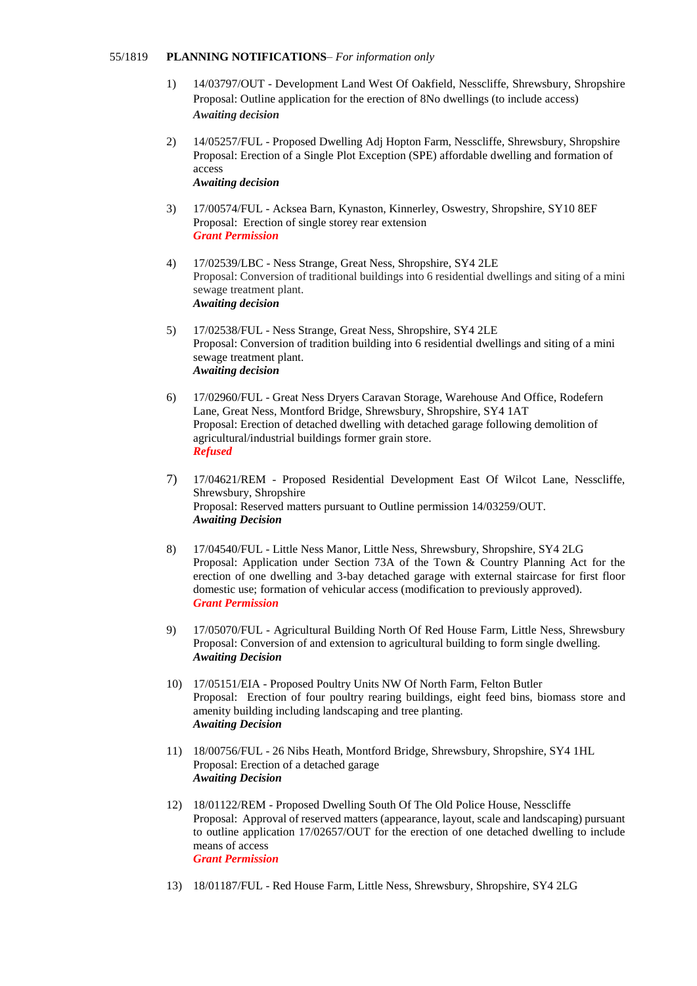#### 55/1819 **PLANNING NOTIFICATIONS**– *For information only*

- 1) 14/03797/OUT Development Land West Of Oakfield, Nesscliffe, Shrewsbury, Shropshire Proposal: Outline application for the erection of 8No dwellings (to include access) *Awaiting decision*
- 2) 14/05257/FUL Proposed Dwelling Adj Hopton Farm, Nesscliffe, Shrewsbury, Shropshire Proposal: Erection of a Single Plot Exception (SPE) affordable dwelling and formation of access *Awaiting decision*
- 3) 17/00574/FUL Acksea Barn, Kynaston, Kinnerley, Oswestry, Shropshire, SY10 8EF Proposal: Erection of single storey rear extension *Grant Permission*
- 4) 17/02539/LBC Ness Strange, Great Ness, Shropshire, SY4 2LE Proposal: Conversion of traditional buildings into 6 residential dwellings and siting of a mini sewage treatment plant. *Awaiting decision*
- 5) 17/02538/FUL Ness Strange, Great Ness, Shropshire, SY4 2LE Proposal: Conversion of tradition building into 6 residential dwellings and siting of a mini sewage treatment plant. *Awaiting decision*
- 6) 17/02960/FUL Great Ness Dryers Caravan Storage, Warehouse And Office, Rodefern Lane, Great Ness, Montford Bridge, Shrewsbury, Shropshire, SY4 1AT Proposal: Erection of detached dwelling with detached garage following demolition of agricultural/industrial buildings former grain store. *Refused*
- 7) 17/04621/REM Proposed Residential Development East Of Wilcot Lane, Nesscliffe, Shrewsbury, Shropshire Proposal: Reserved matters pursuant to Outline permission 14/03259/OUT. *Awaiting Decision*
- 8) 17/04540/FUL Little Ness Manor, Little Ness, Shrewsbury, Shropshire, SY4 2LG Proposal: Application under Section 73A of the Town & Country Planning Act for the erection of one dwelling and 3-bay detached garage with external staircase for first floor domestic use; formation of vehicular access (modification to previously approved). *Grant Permission*
- 9) 17/05070/FUL Agricultural Building North Of Red House Farm, Little Ness, Shrewsbury Proposal: Conversion of and extension to agricultural building to form single dwelling. *Awaiting Decision*
- 10) 17/05151/EIA Proposed Poultry Units NW Of North Farm, Felton Butler Proposal: Erection of four poultry rearing buildings, eight feed bins, biomass store and amenity building including landscaping and tree planting. *Awaiting Decision*
- 11) 18/00756/FUL 26 Nibs Heath, Montford Bridge, Shrewsbury, Shropshire, SY4 1HL Proposal: Erection of a detached garage *Awaiting Decision*
- 12) 18/01122/REM Proposed Dwelling South Of The Old Police House, Nesscliffe Proposal: Approval of reserved matters (appearance, layout, scale and landscaping) pursuant to outline application 17/02657/OUT for the erection of one detached dwelling to include means of access *Grant Permission*
- 13) 18/01187/FUL Red House Farm, Little Ness, Shrewsbury, Shropshire, SY4 2LG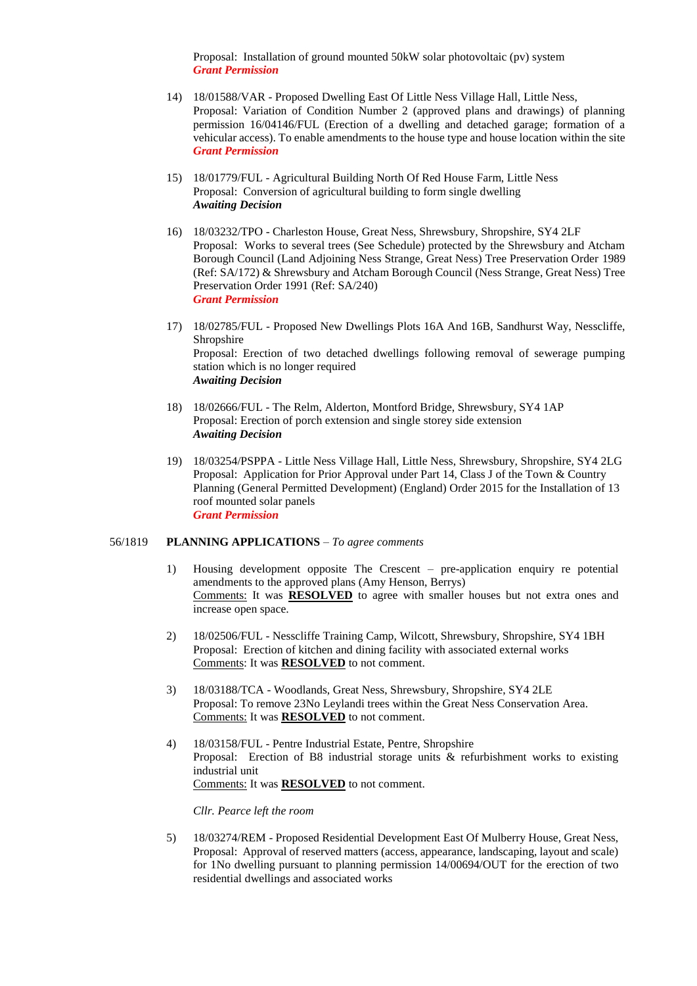Proposal: Installation of ground mounted 50kW solar photovoltaic (pv) system *Grant Permission*

- 14) 18/01588/VAR Proposed Dwelling East Of Little Ness Village Hall, Little Ness, Proposal: Variation of Condition Number 2 (approved plans and drawings) of planning permission 16/04146/FUL (Erection of a dwelling and detached garage; formation of a vehicular access). To enable amendments to the house type and house location within the site *Grant Permission*
- 15) 18/01779/FUL Agricultural Building North Of Red House Farm, Little Ness Proposal: Conversion of agricultural building to form single dwelling *Awaiting Decision*
- 16) 18/03232/TPO Charleston House, Great Ness, Shrewsbury, Shropshire, SY4 2LF Proposal: Works to several trees (See Schedule) protected by the Shrewsbury and Atcham Borough Council (Land Adjoining Ness Strange, Great Ness) Tree Preservation Order 1989 (Ref: SA/172) & Shrewsbury and Atcham Borough Council (Ness Strange, Great Ness) Tree Preservation Order 1991 (Ref: SA/240) *Grant Permission*
- 17) 18/02785/FUL Proposed New Dwellings Plots 16A And 16B, Sandhurst Way, Nesscliffe, Shropshire Proposal: Erection of two detached dwellings following removal of sewerage pumping station which is no longer required *Awaiting Decision*
- 18) 18/02666/FUL The Relm, Alderton, Montford Bridge, Shrewsbury, SY4 1AP Proposal: Erection of porch extension and single storey side extension *Awaiting Decision*
- 19) 18/03254/PSPPA Little Ness Village Hall, Little Ness, Shrewsbury, Shropshire, SY4 2LG Proposal: Application for Prior Approval under Part 14, Class J of the Town & Country Planning (General Permitted Development) (England) Order 2015 for the Installation of 13 roof mounted solar panels *Grant Permission*

#### 56/1819 **PLANNING APPLICATIONS** – *To agree comments*

- 1) Housing development opposite The Crescent pre-application enquiry re potential amendments to the approved plans (Amy Henson, Berrys) Comments: It was **RESOLVED** to agree with smaller houses but not extra ones and increase open space.
- 2) 18/02506/FUL Nesscliffe Training Camp, Wilcott, Shrewsbury, Shropshire, SY4 1BH Proposal: Erection of kitchen and dining facility with associated external works Comments: It was **RESOLVED** to not comment.
- 3) 18/03188/TCA Woodlands, Great Ness, Shrewsbury, Shropshire, SY4 2LE Proposal: To remove 23No Leylandi trees within the Great Ness Conservation Area. Comments: It was **RESOLVED** to not comment.
- 4) 18/03158/FUL Pentre Industrial Estate, Pentre, Shropshire Proposal: Erection of B8 industrial storage units & refurbishment works to existing industrial unit Comments: It was **RESOLVED** to not comment.

*Cllr. Pearce left the room*

5) 18/03274/REM - Proposed Residential Development East Of Mulberry House, Great Ness, Proposal: Approval of reserved matters (access, appearance, landscaping, layout and scale) for 1No dwelling pursuant to planning permission 14/00694/OUT for the erection of two residential dwellings and associated works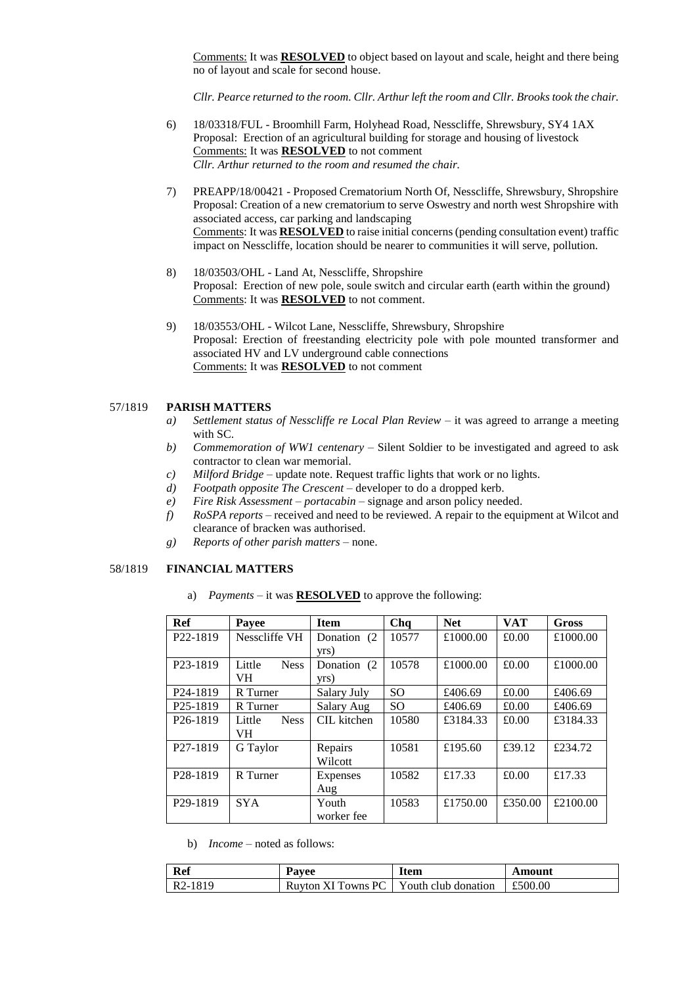Comments: It was **RESOLVED** to object based on layout and scale, height and there being no of layout and scale for second house.

*Cllr. Pearce returned to the room. Cllr. Arthur left the room and Cllr. Brooks took the chair.*

- 6) 18/03318/FUL Broomhill Farm, Holyhead Road, Nesscliffe, Shrewsbury, SY4 1AX Proposal: Erection of an agricultural building for storage and housing of livestock Comments: It was **RESOLVED** to not comment *Cllr. Arthur returned to the room and resumed the chair.*
- 7) PREAPP/18/00421 Proposed Crematorium North Of, Nesscliffe, Shrewsbury, Shropshire Proposal: Creation of a new crematorium to serve Oswestry and north west Shropshire with associated access, car parking and landscaping Comments: It was **RESOLVED** to raise initial concerns (pending consultation event) traffic impact on Nesscliffe, location should be nearer to communities it will serve, pollution.
- 8) 18/03503/OHL Land At, Nesscliffe, Shropshire Proposal: Erection of new pole, soule switch and circular earth (earth within the ground) Comments: It was **RESOLVED** to not comment.
- 9) 18/03553/OHL Wilcot Lane, Nesscliffe, Shrewsbury, Shropshire Proposal: Erection of freestanding electricity pole with pole mounted transformer and associated HV and LV underground cable connections Comments: It was **RESOLVED** to not comment

#### 57/1819 **PARISH MATTERS**

- *a) Settlement status of Nesscliffe re Local Plan Review* it was agreed to arrange a meeting with SC.
- *b) Commemoration of WW1 centenary* Silent Soldier to be investigated and agreed to ask contractor to clean war memorial.
- *c) Milford Bridge* update note. Request traffic lights that work or no lights.
- *d) Footpath opposite The Crescent* developer to do a dropped kerb.
- *e) Fire Risk Assessment – portacabin* signage and arson policy needed.
- *f) RoSPA reports* received and need to be reviewed. A repair to the equipment at Wilcot and clearance of bracken was authorised.
- *g) Reports of other parish matters* none.

#### 58/1819 **FINANCIAL MATTERS**

a) *Payments* – it was **RESOLVED** to approve the following:

| Ref                   | Payee                 | <b>Item</b>  | Chq           | <b>Net</b> | <b>VAT</b> | <b>Gross</b> |
|-----------------------|-----------------------|--------------|---------------|------------|------------|--------------|
| P <sub>22</sub> -1819 | Nesscliffe VH         | Donation (2) | 10577         | £1000.00   | £0.00      | £1000.00     |
|                       |                       | yrs)         |               |            |            |              |
| P <sub>23</sub> -1819 | Little<br><b>Ness</b> | Donation (2) | 10578         | £1000.00   | £0.00      | £1000.00     |
|                       | VH.                   | yrs)         |               |            |            |              |
| P <sub>24</sub> -1819 | R Turner              | Salary July  | SO.           | £406.69    | £0.00      | £406.69      |
| P <sub>25</sub> -1819 | R Turner              | Salary Aug   | <sub>SO</sub> | £406.69    | £0.00      | £406.69      |
| P <sub>26</sub> -1819 | <b>Ness</b><br>Little | CIL kitchen  | 10580         | £3184.33   | £0.00      | £3184.33     |
|                       | VH.                   |              |               |            |            |              |
| P <sub>27</sub> -1819 | G Taylor              | Repairs      | 10581         | £195.60    | £39.12     | £234.72      |
|                       |                       | Wilcott      |               |            |            |              |
| P <sub>28</sub> -1819 | R Turner              | Expenses     | 10582         | £17.33     | £0.00      | £17.33       |
|                       |                       | Aug          |               |            |            |              |
| P <sub>29</sub> -1819 | <b>SYA</b>            | Youth        | 10583         | £1750.00   | £350.00    | £2100.00     |
|                       |                       | worker fee   |               |            |            |              |

b) *Income* – noted as follows:

| <b>Ref</b>           | Pavee                                    | Item | \mount  |
|----------------------|------------------------------------------|------|---------|
| R <sub>2</sub> -1819 | Ruyton XI Towns PC   Youth club donation |      | £500.00 |